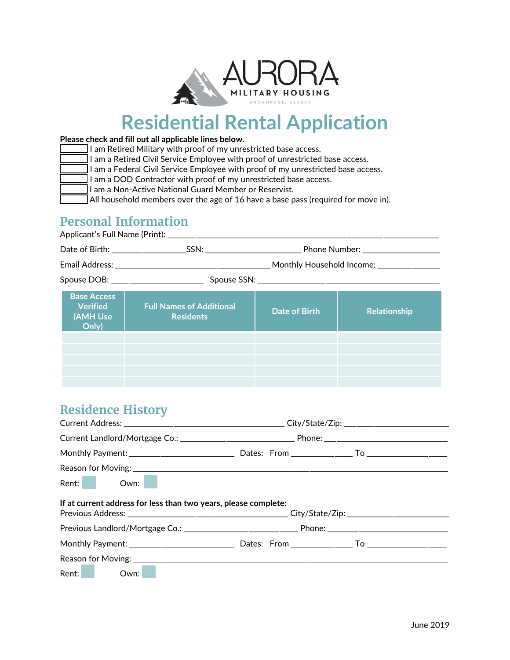

# **Residential Rental Application**

#### **Please check and fill out all applicable lines below.**

I am Retired Military with proof of my unrestricted base access.

I am a Retired Civil Service Employee with proof of unrestricted base access.

I am a Federal Civil Service Employee with proof of my unrestricted base access.

I am a DOD Contractor with proof of my unrestricted base access.

 $\Pi$  am a Non-Active National Guard Member or Reservist.

 $\Box$  All household members over the age of 16 have a base pass (required for move in).

#### **Personal Information**

Applicant's Full Name (Print): \_\_\_\_\_\_\_\_\_\_\_\_\_\_\_\_\_\_\_\_\_\_\_\_\_\_\_\_\_\_\_\_\_\_\_\_\_\_\_\_\_\_\_\_\_\_\_\_\_\_\_\_\_\_\_\_\_\_\_\_\_\_\_\_\_\_\_\_\_\_\_\_\_\_\_\_\_\_\_\_\_\_\_\_\_\_\_\_ Date of Birth: \_\_\_\_\_\_\_\_\_\_\_\_\_\_\_\_\_\_\_\_\_\_\_\_SSN: \_\_\_\_\_\_\_\_\_\_\_\_\_\_\_\_\_\_\_\_\_\_\_\_\_\_\_\_\_\_\_ Phone Number: \_\_\_\_\_\_\_\_\_\_\_\_\_\_\_\_\_\_\_\_\_\_\_\_\_ Email Address: \_\_\_\_\_\_\_\_\_\_\_\_\_\_\_\_\_\_\_\_\_\_\_\_\_\_\_\_\_\_\_\_\_\_\_\_\_\_\_\_\_\_\_\_\_\_\_\_\_\_ Monthly Household Income: \_\_\_\_\_\_\_\_\_\_\_\_\_\_\_\_\_\_\_\_ Spouse DOB: \_\_\_\_\_\_\_\_\_\_\_\_\_\_\_\_\_\_\_\_\_\_\_\_\_\_\_\_\_\_ Spouse SSN: \_\_\_\_\_\_\_\_\_\_\_\_\_\_\_\_\_\_\_\_\_\_\_\_\_\_\_\_\_\_\_\_\_\_\_\_\_\_\_\_\_\_\_\_\_\_\_\_\_\_\_\_\_\_\_\_\_\_\_ **Base Access Verified (AMH Use Only) Full Names of Additional Residents Date of Birth Relationship**

## **Residence History**

| Rent: Own:                                                      |  |  |  |
|-----------------------------------------------------------------|--|--|--|
| If at current address for less than two years, please complete: |  |  |  |
|                                                                 |  |  |  |
|                                                                 |  |  |  |
|                                                                 |  |  |  |
| Rent: Own:                                                      |  |  |  |